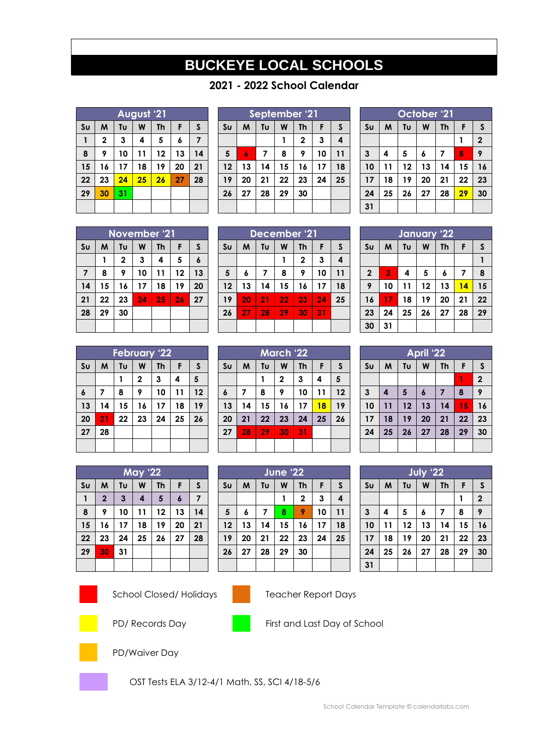## **BUCKEYE LOCAL SCHOOLS**

Ξ

## **- 2022 School Calendar**

| August '21     |             |    |    |           |    |    |  |
|----------------|-------------|----|----|-----------|----|----|--|
| S <sub>U</sub> | M           | Tυ | W  | <b>Th</b> | F  | S  |  |
|                | $\mathbf 2$ | 3  | 4  | 5         | 6  | 7  |  |
| 8              | 9           | 10 | 11 | 12        | 13 | 14 |  |
| 15             | 16          | 17 | 18 | 19        | 20 | 21 |  |
| 22             | 23          | 24 | 25 | 26        | 27 | 28 |  |
| 29             | 30          | 31 |    |           |    |    |  |
|                |             |    |    |           |    |    |  |

| September '21  |    |    |    |             |    |    |  |
|----------------|----|----|----|-------------|----|----|--|
| S <sub>U</sub> | M  | F  | S  |             |    |    |  |
|                |    |    |    | $\mathbf 2$ | 3  | 4  |  |
| 5              | 6  | 7  | 8  | 9           | 10 | 11 |  |
| 12             | 13 | 14 | 15 | 16          | 17 | 18 |  |
| 19             | 20 | 21 | 22 | 23          | 24 | 25 |  |
| 26             | 27 | 28 | 29 | 30          |    |    |  |
|                |    |    |    |             |    |    |  |

| October '21    |                                     |    |    |    |    |             |  |
|----------------|-------------------------------------|----|----|----|----|-------------|--|
| S <sub>U</sub> | Tυ<br>M<br><b>Th</b><br>W<br>S<br>F |    |    |    |    |             |  |
|                |                                     |    |    |    |    | $\mathbf 2$ |  |
| $\mathbf{3}$   | 4                                   | 5  | 6  | 7  | 8  | 9           |  |
| 10             | 11                                  | 12 | 13 | 14 | 15 | 16          |  |
| 17             | 18                                  | 19 | 20 | 21 | 22 | 23          |  |
| 24             | 25                                  | 26 | 27 | 28 | 29 | 30          |  |
| 31             |                                     |    |    |    |    |             |  |

| November '21   |    |              |    |    |    |                  |
|----------------|----|--------------|----|----|----|------------------|
| S <sub>U</sub> | F  | S            |    |    |    |                  |
|                | 1  | $\mathbf{2}$ | 3  | 4  | 5  | $\boldsymbol{6}$ |
| $\overline{7}$ | 8  | 9            | 10 | 11 | 12 | 13               |
| 14             | 15 | 16           | 17 | 18 | 19 | 20               |
| 21             | 22 | 23           | 24 | 25 | 26 | 27               |
| 28             | 29 | 30           |    |    |    |                  |
|                |    |              |    |    |    |                  |

| December '21   |                                |    |    |              |    |    |  |
|----------------|--------------------------------|----|----|--------------|----|----|--|
| S <sub>U</sub> | W<br>Tυ<br><b>Th</b><br>M<br>F |    |    |              |    |    |  |
|                |                                |    |    | $\mathbf{2}$ | 3  | 4  |  |
| $5\phantom{1}$ | 6                              | 7  | 8  | 9            | 10 | 11 |  |
| 12             | 13                             | 14 | 15 | 16           | 17 | 18 |  |
| 19             | 20                             | 21 | 22 | 23           | 24 | 25 |  |
| 26             | 27                             | 28 | 29 | 30           | 31 |    |  |
|                |                                |    |    |              |    |    |  |

| January '22             |    |    |    |    |    |              |  |
|-------------------------|----|----|----|----|----|--------------|--|
| S <sub>U</sub>          | M  | Tυ | W  | Th | F  | $\mathsf{s}$ |  |
|                         |    |    |    |    |    |              |  |
| $\overline{\mathbf{2}}$ | 3  | 4  | 5  | 6  | 7  | 8            |  |
| 9                       | 10 | 11 | 12 | 13 | 14 | 15           |  |
| 16                      | 17 | 18 | 19 | 20 | 21 | 22           |  |
| 23                      | 24 | 25 | 26 | 27 | 28 | 29           |  |
| 30                      | 31 |    |    |    |    |              |  |

| <b>February '22</b>                              |    |    |              |    |    |    |  |
|--------------------------------------------------|----|----|--------------|----|----|----|--|
| S <sub>U</sub><br>Tυ<br>M<br>W<br><b>Th</b><br>F |    |    |              |    |    | S  |  |
|                                                  |    |    | $\mathbf{2}$ | 3  | 4  | 5  |  |
| 6                                                | 7  | 8  | 9            | 10 | 11 | 12 |  |
| 13                                               | 14 | 15 | 16           | 17 | 18 | 19 |  |
| 20                                               | 21 | 22 | 23           | 24 | 25 | 26 |  |
| 27                                               | 28 |    |              |    |    |    |  |
|                                                  |    |    |              |    |    |    |  |

**May '22**  $\text{SU}$   $\mid$  M  $\mid$  Tu  $\mid$  W  $\mid$  Th  $\mid$  F  $\mid$  S **2 3 4 5 6 7 9 10 11 12 13 14 16 17 18 19 20 21 23 24 25 26 27 28**

| <b>March '22</b> |    |           |             |    |    |    |  |
|------------------|----|-----------|-------------|----|----|----|--|
| S <sub>U</sub>   | M  | <b>Th</b> | F           | S  |    |    |  |
|                  |    |           | $\mathbf 2$ | 3  | 4  | 5  |  |
| $\boldsymbol{6}$ | 7  | 8         | 9           | 10 | 11 | 12 |  |
| 13               | 14 | 15        | 16          | 17 | 18 | 19 |  |
| 20               | 21 | 22        | 23          | 24 | 25 | 26 |  |
| 27               | 28 | 29        | 30          | 31 |    |    |  |
|                  |    |           |             |    |    |    |  |

**June '22**  $\mathbf{S} \mathbf{u}$  |  $\mathbf{M}$  |  $\mathbf{T} \mathbf{u}$  |  $\mathbf{W}$  |  $\mathbf{T} \mathbf{h}$  |  $\mathbf{F}$  |  $\mathbf{S}$ 

 **6 7 8 9 10 11 13 14 15 16 17 18 20 21 22 23 24 25**

**27 28 29 30**

|                |    |    | April '22 |                |    |                |  |
|----------------|----|----|-----------|----------------|----|----------------|--|
| S <sub>U</sub> | M  | Tu | W         | <b>Th</b>      | F  | S              |  |
|                |    |    |           |                |    | $\overline{2}$ |  |
| $\mathbf{3}$   | 4  | 5  | 6         | $\overline{7}$ | 8  | 9              |  |
| 10             | 11 | 12 | 13        | 14             | 15 | 16             |  |
| 17             | 18 | 19 | 20        | 21             | 22 | 23             |  |
| 24             | 25 | 26 | 27        | 28             | 29 | 30             |  |
|                |    |    |           |                |    |                |  |

|  | S <sub>U</sub> | M  | Tu | W  | <b>Th</b>      | F  | S            |
|--|----------------|----|----|----|----------------|----|--------------|
|  |                |    |    |    |                |    | $\mathbf{2}$ |
|  | $\mathbf{3}$   | 4  | 5  | 6  | $\overline{7}$ | 8  | 9            |
|  | 10             | 11 | 12 | 13 | 14             | 15 | 16           |
|  | 17             | 18 | 19 | 20 | 21             | 22 | 23           |
|  | 24             | 25 | 26 | 27 | 28             | 29 | 30           |
|  | 31             |    |    |    |                |    |              |



**30 31**

School Closed/ Holidays Teacher Report Days



**2 3 4**





PD/ Records Day First and Last Day of School



PD/Waiver Day

OST Tests ELA 3/12-4/1 Math, SS, SCI 4/18-5/6